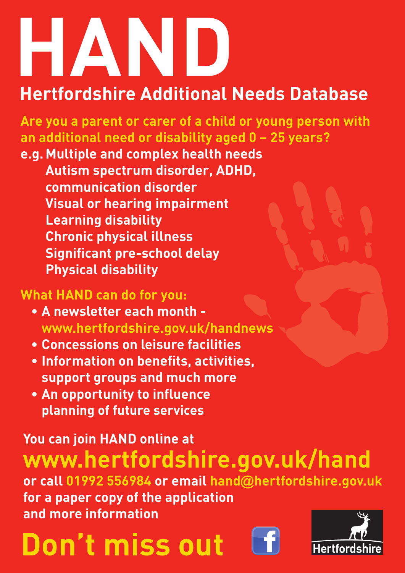# **HAND Hertfordshire Additional Needs Database**

**Are you a parent or carer of a child or young person with an additional need or disability aged 0 – 25 years?**

**e.g. Multiple and complex health needs Autism spectrum disorder, ADHD, communication disorder Visual or hearing impairment Learning disability Chronic physical illness Significant pre-school delay Physical disability**

### **What HAND can do for you:**

- **• A newsletter each month www.hertfordshire.gov.uk/handnews**
- **• Concessions on leisure facilities**
- **• Information on benefits, activities, support groups and much more**
- **• An opportunity to influence planning of future services**

### **You can join HAND online at www.hertfordshire.gov.uk/hand**

**or call 01992 556984 or email hand@hertfordshire.gov.uk for a paper copy of the application and more information**

## **Don't miss out**